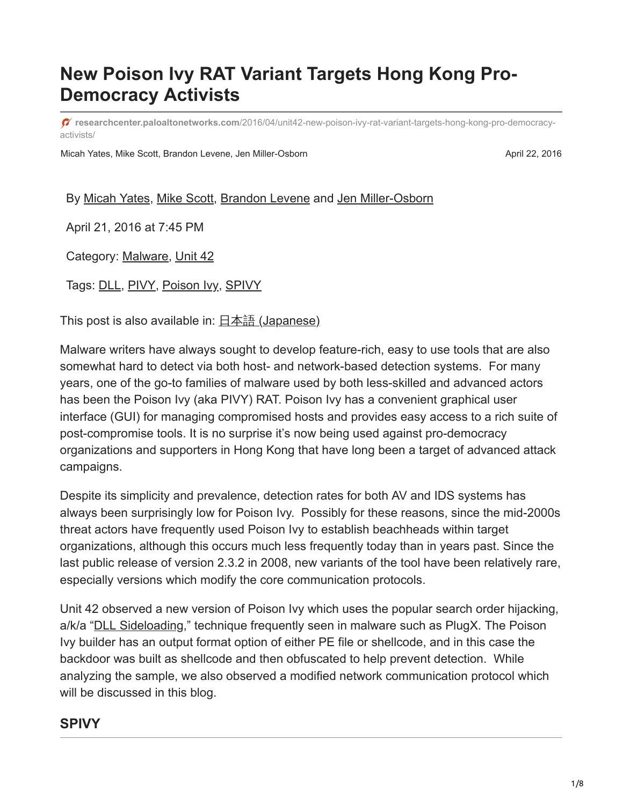# **New Poison Ivy RAT Variant Targets Hong Kong Pro-Democracy Activists**

**researchcenter.paloaltonetworks.com**[/2016/04/unit42-new-poison-ivy-rat-variant-targets-hong-kong-pro-democracy](https://researchcenter.paloaltonetworks.com/2016/04/unit42-new-poison-ivy-rat-variant-targets-hong-kong-pro-democracy-activists/)activists/

Micah Yates, Mike Scott, Brandon Levene, Jen Miller-Osborn **April 22, 2016** April 22, 2016

By [Micah Yates,](https://unit42.paloaltonetworks.com/author/micah-yates/) [Mike Scott](https://unit42.paloaltonetworks.com/author/mike-scott/), [Brandon Levene](https://unit42.paloaltonetworks.com/author/brandon-levene/) and [Jen Miller-Osborn](https://unit42.paloaltonetworks.com/author/jen-miller-osborn/)

April 21, 2016 at 7:45 PM

Category: [Malware,](https://unit42.paloaltonetworks.com/category/malware-2/) [Unit 42](https://unit42.paloaltonetworks.com/category/unit42/)

Tags: [DLL](https://unit42.paloaltonetworks.com/tag/dll/), [PIVY](https://unit42.paloaltonetworks.com/tag/pivy/), [Poison Ivy](https://unit42.paloaltonetworks.com/tag/poison-ivy/), [SPIVY](https://unit42.paloaltonetworks.com/tag/spivy/)

This post is also available in:  $\frac{\Box \pm \Diamond \exists}{\Box}$  [\(Japanese\)](https://unit42.paloaltonetworks.jp/unit42-new-poison-ivy-rat-variant-targets-hong-kong-pro-democracy-activists/)

Malware writers have always sought to develop feature-rich, easy to use tools that are also somewhat hard to detect via both host- and network-based detection systems. For many years, one of the go-to families of malware used by both less-skilled and advanced actors has been the Poison Ivy (aka PIVY) RAT. Poison Ivy has a convenient graphical user interface (GUI) for managing compromised hosts and provides easy access to a rich suite of post-compromise tools. It is no surprise it's now being used against pro-democracy organizations and supporters in Hong Kong that have long been a target of advanced attack campaigns.

Despite its simplicity and prevalence, detection rates for both AV and IDS systems has always been surprisingly low for Poison Ivy. Possibly for these reasons, since the mid-2000s threat actors have frequently used Poison Ivy to establish beachheads within target organizations, although this occurs much less frequently today than in years past. Since the last public release of version 2.3.2 in 2008, new variants of the tool have been relatively rare, especially versions which modify the core communication protocols.

Unit 42 observed a new version of Poison Ivy which uses the popular search order hijacking, a/k/a ["DLL Sideloading,](https://attack.mitre.org/wiki/DLL_side-loading)" technique frequently seen in malware such as PlugX. The Poison Ivy builder has an output format option of either PE file or shellcode, and in this case the backdoor was built as shellcode and then obfuscated to help prevent detection. While analyzing the sample, we also observed a modified network communication protocol which will be discussed in this blog.

### **SPIVY**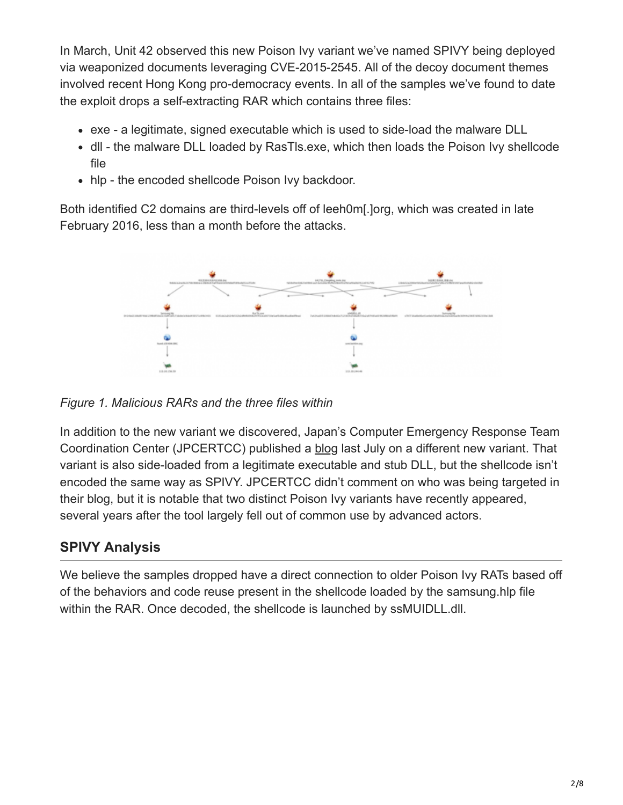In March, Unit 42 observed this new Poison Ivy variant we've named SPIVY being deployed via weaponized documents leveraging CVE-2015-2545. All of the decoy document themes involved recent Hong Kong pro-democracy events. In all of the samples we've found to date the exploit drops a self-extracting RAR which contains three files:

- exe a legitimate, signed executable which is used to side-load the malware DLL
- dll the malware DLL loaded by RasTls.exe, which then loads the Poison Ivy shellcode file
- hlp the encoded shellcode Poison Ivy backdoor.

Both identified C2 domains are third-levels off of leeh0m[.]org, which was created in late February 2016, less than a month before the attacks.



*Figure 1. Malicious RARs and the three files within*

In addition to the new variant we discovered, Japan's Computer Emergency Response Team Coordination Center (JPCERTCC) published a [blog](http://blog.jpcert.or.jp/2015/07/poisonivy-adapts-to-communicate-through-authentication-proxies.html) last July on a different new variant. That variant is also side-loaded from a legitimate executable and stub DLL, but the shellcode isn't encoded the same way as SPIVY. JPCERTCC didn't comment on who was being targeted in their blog, but it is notable that two distinct Poison Ivy variants have recently appeared, several years after the tool largely fell out of common use by advanced actors.

# **SPIVY Analysis**

We believe the samples dropped have a direct connection to older Poison Ivy RATs based off of the behaviors and code reuse present in the shellcode loaded by the samsung.hlp file within the RAR. Once decoded, the shellcode is launched by ssMUIDLL.dll.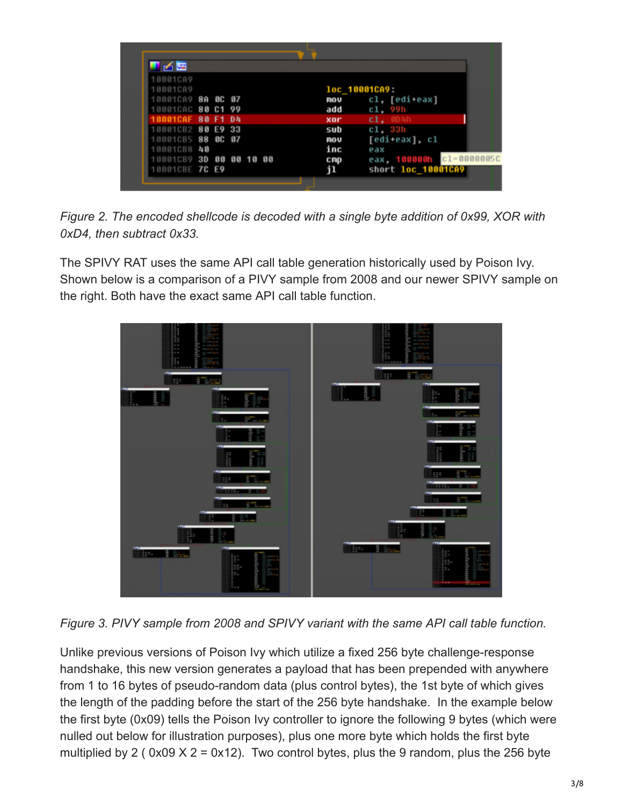| ▜▗≺█                                   |          |  |               |                                        |
|----------------------------------------|----------|--|---------------|----------------------------------------|
| 10001CA9<br>10001CA9                   |          |  | loc_10001CA9: |                                        |
| 10001CA9 8A 0C 07<br>10001CAC 80 C1 99 |          |  | mov<br>add    | cl, [edi+eax]                          |
| <b>BB81CAF</b>                         | 80 F1 D4 |  | xor           | cl, 99h<br>c1.                         |
| 10001CB2 80 E9 33<br>10001CB5 88 0C 07 |          |  | sub<br>mov    | c1.33h<br>[edi+eax], cl                |
| 10001CB8 40<br>10001CB9 3D 00 00 10 00 |          |  | inc<br>cmp    | eax<br>$c1 = 0000005C$<br>eax. 100000h |
| 10001CBE 7C E9                         |          |  | jl            | short loc_10001CA9                     |
|                                        |          |  |               |                                        |

*Figure 2. The encoded shellcode is decoded with a single byte addition of 0x99, XOR with 0xD4, then subtract 0x33.*

The SPIVY RAT uses the same API call table generation historically used by Poison Ivy. Shown below is a comparison of a PIVY sample from 2008 and our newer SPIVY sample on the right. Both have the exact same API call table function.



*Figure 3. PIVY sample from 2008 and SPIVY variant with the same API call table function.*

Unlike previous versions of Poison Ivy which utilize a fixed 256 byte challenge-response handshake, this new version generates a payload that has been prepended with anywhere from 1 to 16 bytes of pseudo-random data (plus control bytes), the 1st byte of which gives the length of the padding before the start of the 256 byte handshake. In the example below the first byte (0x09) tells the Poison Ivy controller to ignore the following 9 bytes (which were nulled out below for illustration purposes), plus one more byte which holds the first byte multiplied by 2 (0x09  $X$  2 = 0x12). Two control bytes, plus the 9 random, plus the 256 byte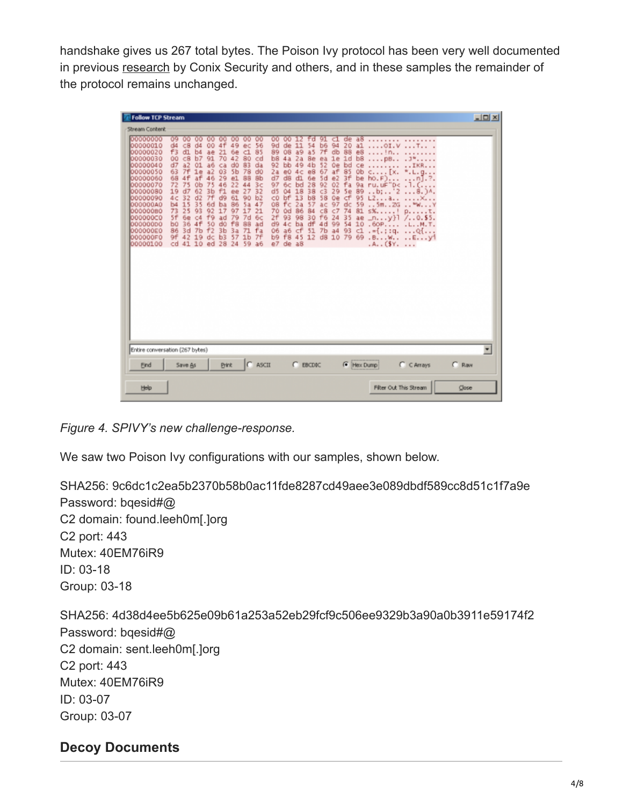handshake gives us 267 total bytes. The Poison Ivy protocol has been very well documented in previous [research](http://blog.conixsecurity.fr/wp-content/uploads/2013/10/Poison-Ivy-RAT-conf-comms.pdf) by Conix Security and others, and in these samples the remainder of the protocol remains unchanged.

| <b>Follow TCP Stream</b>                                                                                                                                                                                 |                                                                                                                                                                                                                         |                                                                                                                                                                                                                                           |                                                                                                                                                                                                                                              |                                                                                                                                                                                                                               |                                                                                                                                                                                                        |                                                                                                                                                                                                                         |                                                                                                                                                                                                                                     |                                                                                                                                                                                                                      |                                                                                                                                                                                                  |                                                                                                                                                                                                  |         | $   x$ $-$ |
|----------------------------------------------------------------------------------------------------------------------------------------------------------------------------------------------------------|-------------------------------------------------------------------------------------------------------------------------------------------------------------------------------------------------------------------------|-------------------------------------------------------------------------------------------------------------------------------------------------------------------------------------------------------------------------------------------|----------------------------------------------------------------------------------------------------------------------------------------------------------------------------------------------------------------------------------------------|-------------------------------------------------------------------------------------------------------------------------------------------------------------------------------------------------------------------------------|--------------------------------------------------------------------------------------------------------------------------------------------------------------------------------------------------------|-------------------------------------------------------------------------------------------------------------------------------------------------------------------------------------------------------------------------|-------------------------------------------------------------------------------------------------------------------------------------------------------------------------------------------------------------------------------------|----------------------------------------------------------------------------------------------------------------------------------------------------------------------------------------------------------------------|--------------------------------------------------------------------------------------------------------------------------------------------------------------------------------------------------|--------------------------------------------------------------------------------------------------------------------------------------------------------------------------------------------------|---------|------------|
| Stream Content                                                                                                                                                                                           |                                                                                                                                                                                                                         |                                                                                                                                                                                                                                           |                                                                                                                                                                                                                                              |                                                                                                                                                                                                                               |                                                                                                                                                                                                        |                                                                                                                                                                                                                         |                                                                                                                                                                                                                                     |                                                                                                                                                                                                                      |                                                                                                                                                                                                  |                                                                                                                                                                                                  |         |            |
| 00000000<br>00000010<br>00000020<br>00000030<br>00000040<br>00000050<br>00000060<br>00000070<br>00000080<br>00000090<br>000000A0<br>00000080<br>000000C0<br>00000000<br>000000E0<br>000000F0<br>00000100 | 09<br>00<br>d4<br>C8<br>f3<br>d1<br>c8<br>00<br>d7<br>a2<br>63<br>7f<br>68<br>4f<br>72<br>75<br>19<br>d7<br>4c<br>32<br>15<br>b <sub>4</sub><br>73<br>25<br>5f<br>6e<br>36<br>bū<br>3d<br>86<br>42<br>9f<br>41 10<br>cd | αo<br>αo<br>$d4$<br>00<br>ae<br>b4<br>b7<br>91<br>01<br>a6<br>1e<br>a2<br>46<br>af<br>75<br>0b<br>62<br>3 <sub>b</sub><br>d2<br>7f<br>35<br>6d<br>93<br>92<br>C <sub>4</sub><br>f9<br>4f<br>50<br>f2<br>7 <sub>b</sub><br>19<br>dc<br>ed. | oo<br>00<br>4f<br>49<br>21<br>6e<br>70<br>42<br>dü<br>ca<br>O3<br>5 <sub>b</sub><br>29<br>e1<br>22<br>46<br>f1<br>ee<br>61<br>d9<br>86<br>ba<br>17<br>97<br>79<br>ad<br>f8<br>dū<br>3 <sub>b</sub><br>3a<br>b <sub>3</sub><br>57<br>28<br>24 | $^{00}$<br>00<br>ec<br>56<br>85<br>$\epsilon$ 1<br>80<br>cd<br>83<br>da<br>78<br>d0<br>88<br>8b<br>3<<br>44<br>32<br>27<br>90<br>b2<br>47<br>5a<br>17<br>21<br>7d<br>6c<br>88<br>ad<br>71 fa<br>1 <sub>b</sub><br>7f<br>59 a6 | 00<br>00<br>9d<br>de<br>89<br>08<br>b <sub>8</sub><br>4a<br>92<br>bb<br>2a<br>e0<br>d7<br>d8<br>97<br>бc<br>d5<br>04<br>$c$<br>bf<br>08<br>fc<br>70<br>Od<br>2f<br>93<br>d9 4c<br>06 a6 cf<br>e7 de a8 | ۴d<br>11<br>54<br>a <sub>5</sub><br>a9<br>8e<br>2a<br>49<br>4 <sub>b</sub><br>4<<br>e8<br>6e<br>d1<br>28<br>bd<br>18<br>38<br>13<br>b <sub>8</sub><br>2a<br>57<br>84<br>86<br>98<br>30<br>df<br>ba<br>51<br>b9 f8 45 12 | 91<br>c1<br>b <sub>6</sub><br>94<br>7f<br>db<br>1e<br>ea<br>52<br>0e<br>67<br>af<br>e <sub>2</sub><br>5d<br>92<br>02<br>C <sub>3</sub><br>29<br>58<br>0e<br>97<br>ac<br>C8<br>$C$ 7<br>f6<br>24<br>4d<br>99<br>7b<br>a4<br>d8<br>10 | de<br>a8<br>20<br>a1<br>88<br>e8<br>b <sub>8</sub><br>1d<br>bd<br>ce<br>85<br>0 <sub>b</sub><br>Зf<br>be<br>fa<br>9a<br>89<br>5e<br>cf<br>95<br>dc<br>59<br>74<br>81<br>35<br>ae<br>54<br>10<br>93<br>C1<br>79<br>69 | .<br>$\ldots$ . OI.V<br><br>$\ldots$ pB<br>.<br>$C_{1}$ $[X_{n}]$<br>$ho.E$<br>ru.uF"<br>'D<<br>b:<br>12<br>a <sub>1</sub><br>L2.<br>.5m.2G<br>s%.<br>$-ny}$<br>.60P<br>$.-1.119.$<br>.A. . (SY. | $\ldots$ T. $\ldots$<br>$.38$<br>IKR<br>$K, L, Q, \ldots$<br>$-1$<br>.<br>$8.$ ) <sup><math>\Lambda</math></sup> .<br>p.,<br>$\ldots$ t.<br>$/0.0.55$ .<br>.L. . M. T.<br>$\ldots$ Q<br>$-BWEY1$ |         |            |
| Entire conversation (267 bytes)                                                                                                                                                                          |                                                                                                                                                                                                                         |                                                                                                                                                                                                                                           |                                                                                                                                                                                                                                              |                                                                                                                                                                                                                               |                                                                                                                                                                                                        |                                                                                                                                                                                                                         |                                                                                                                                                                                                                                     |                                                                                                                                                                                                                      |                                                                                                                                                                                                  |                                                                                                                                                                                                  |         | ٠          |
| Eind                                                                                                                                                                                                     | Save As                                                                                                                                                                                                                 |                                                                                                                                                                                                                                           | <b>Print</b>                                                                                                                                                                                                                                 | $C$ ASCII                                                                                                                                                                                                                     |                                                                                                                                                                                                        | $C$ EBCDIC                                                                                                                                                                                                              |                                                                                                                                                                                                                                     | (C Hex Dump)                                                                                                                                                                                                         |                                                                                                                                                                                                  | $C$ $C$ Arrays                                                                                                                                                                                   | $C$ Raw |            |
| Help                                                                                                                                                                                                     |                                                                                                                                                                                                                         |                                                                                                                                                                                                                                           |                                                                                                                                                                                                                                              |                                                                                                                                                                                                                               |                                                                                                                                                                                                        |                                                                                                                                                                                                                         |                                                                                                                                                                                                                                     |                                                                                                                                                                                                                      | Filter Out This Stream                                                                                                                                                                           |                                                                                                                                                                                                  | Close   |            |

*Figure 4. SPIVY's new challenge-response.*

We saw two Poison Ivy configurations with our samples, shown below.

SHA256: 9c6dc1c2ea5b2370b58b0ac11fde8287cd49aee3e089dbdf589cc8d51c1f7a9e Password: bqesid#@ C2 domain: found.leeh0m[.]org C2 port: 443 Mutex: 40EM76iR9 ID: 03-18 Group: 03-18 SHA256: 4d38d4ee5b625e09b61a253a52eb29fcf9c506ee9329b3a90a0b3911e59174f2 Password: bqesid#@ C2 domain: sent.leeh0m[.]org C2 port: 443 Mutex: 40EM76iR9 ID: 03-07 Group: 03-07

# **Decoy Documents**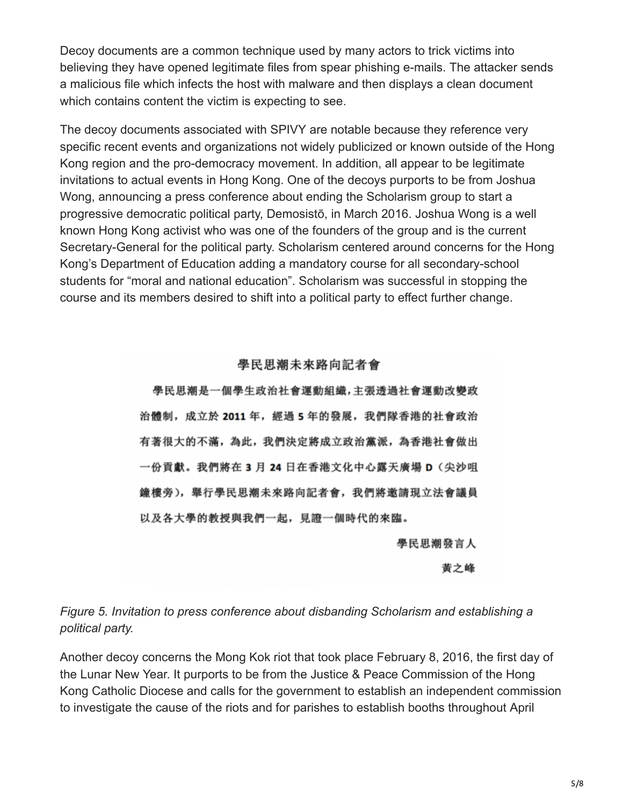Decoy documents are a common technique used by many actors to trick victims into believing they have opened legitimate files from spear phishing e-mails. The attacker sends a malicious file which infects the host with malware and then displays a clean document which contains content the victim is expecting to see.

The decoy documents associated with SPIVY are notable because they reference very specific recent events and organizations not widely publicized or known outside of the Hong Kong region and the pro-democracy movement. In addition, all appear to be legitimate invitations to actual events in Hong Kong. One of the decoys purports to be from Joshua Wong, announcing a press conference about ending the Scholarism group to start a progressive democratic political party, Demosistō, in March 2016. Joshua Wong is a well known Hong Kong activist who was one of the founders of the group and is the current Secretary-General for the political party. Scholarism centered around concerns for the Hong Kong's Department of Education adding a mandatory course for all secondary-school students for "moral and national education". Scholarism was successful in stopping the course and its members desired to shift into a political party to effect further change.

#### 學民思潮未來路向記者會

學民思潮是一個學生政治社會運動組織,主張透過社會運動改變政 治體制, 成立於 2011年, 經過 5年的發展, 我們隊香港的社會政治 有著很大的不滿,為此,我們決定將成立政治黨派,為香港社會做出 一份貢獻。我們將在 3 月 24 日在香港文化中心露天廣場 D (尖沙咀 鐘樓旁), 舉行學民思潮未來路向記者會, 我們將邀請現立法會議員 以及各大學的教授與我們一起, 見證一個時代的來臨。

學民思潮發言人

黃之峰

### *Figure 5. Invitation to press conference about disbanding Scholarism and establishing a political party.*

Another decoy concerns the Mong Kok riot that took place February 8, 2016, the first day of the Lunar New Year. It purports to be from the Justice & Peace Commission of the Hong Kong Catholic Diocese and calls for the government to establish an independent commission to investigate the cause of the riots and for parishes to establish booths throughout April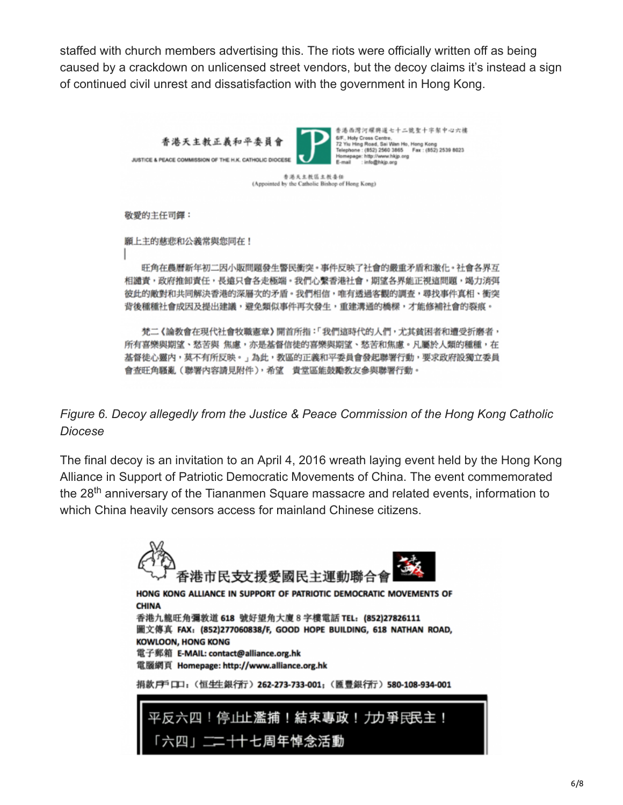staffed with church members advertising this. The riots were officially written off as being caused by a crackdown on unlicensed street vendors, but the decoy claims it's instead a sign of continued civil unrest and dissatisfaction with the government in Hong Kong.



李浩天主教区主教委任 (Appointed by the Catholic Bishop of Hong Kong)

敬愛的主任司鐸:

願上主的慈悲和公義常與您同在!

旺角在農曆新年初二因小販問題發生警民衝突。事件反映了社會的嚴重矛盾和激化。社會各界互 相譴責,政府推卸責任,長遠只會各走極端。我們心繫香港社會,期望各界能正視這問題,竭力消弭 彼此的敵對和共同解決香港的深層次的矛盾。我們相信,唯有透過客觀的調查,尋找事件真相、衝突 背後種種社會成因及提出建議,避免類似事件再次發生,重建溝通的橋樑,才能修補社會的裂痕。

梵二《論教會在現代社會牧職憲章》開首所指:「我們這時代的人們,尤其貧困者和遭受折磨者, 所有喜樂與期望、愁苦與 焦慮,亦是基督信徒的喜樂與期望、愁苦和焦慮。凡屬於人類的種種,在 基督徒心靈内,莫不有所反映。」為此,教區的正義和平委員會發起聯署行動,要求政府設獨立委員 會查旺角騷亂(聯署內容請見附件),希望 貴堂區能鼓勵教友參與聯署行動。

*Figure 6. Decoy allegedly from the Justice & Peace Commission of the Hong Kong Catholic Diocese*

The final decoy is an invitation to an April 4, 2016 wreath laying event held by the Hong Kong Alliance in Support of Patriotic Democratic Movements of China. The event commemorated the 28<sup>th</sup> anniversary of the Tiananmen Square massacre and related events, information to which China heavily censors access for mainland Chinese citizens.

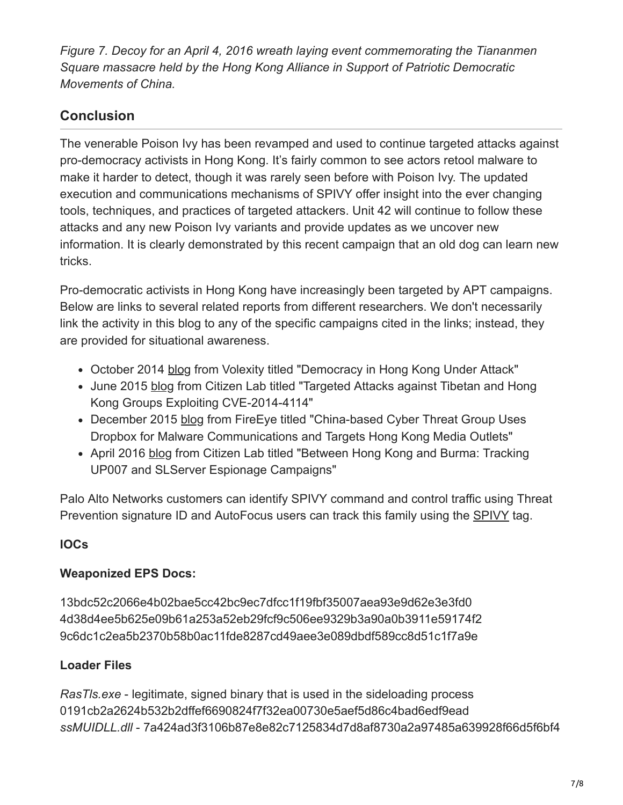*Figure 7. Decoy for an April 4, 2016 wreath laying event commemorating the Tiananmen Square massacre held by the Hong Kong Alliance in Support of Patriotic Democratic Movements of China.*

# **Conclusion**

The venerable Poison Ivy has been revamped and used to continue targeted attacks against pro-democracy activists in Hong Kong. It's fairly common to see actors retool malware to make it harder to detect, though it was rarely seen before with Poison Ivy. The updated execution and communications mechanisms of SPIVY offer insight into the ever changing tools, techniques, and practices of targeted attackers. Unit 42 will continue to follow these attacks and any new Poison Ivy variants and provide updates as we uncover new information. It is clearly demonstrated by this recent campaign that an old dog can learn new tricks.

Pro-democratic activists in Hong Kong have increasingly been targeted by APT campaigns. Below are links to several related reports from different researchers. We don't necessarily link the activity in this blog to any of the specific campaigns cited in the links; instead, they are provided for situational awareness.

- October 2014 [blog](http://www.volexity.com/blog/?p=33) from Volexity titled "Democracy in Hong Kong Under Attack"
- June 2015 [blog](https://citizenlab.org/2015/06/targeted-attacks-against-tibetan-and-hong-kong-groups-exploiting-cve-2014-4114/) from Citizen Lab titled "Targeted Attacks against Tibetan and Hong Kong Groups Exploiting CVE-2014-4114"
- December 2015 [blog](https://www.fireeye.com/blog/threat-research/2015/11/china-based-threat.html) from FireEye titled "China-based Cyber Threat Group Uses Dropbox for Malware Communications and Targets Hong Kong Media Outlets"
- April 2016 [blog](https://citizenlab.org/2016/04/between-hong-kong-and-burma/) from Citizen Lab titled "Between Hong Kong and Burma: Tracking UP007 and SLServer Espionage Campaigns"

Palo Alto Networks customers can identify SPIVY command and control traffic using Threat Prevention signature ID and AutoFocus users can track this family using the [SPIVY](https://autofocus.paloaltonetworks.com/#/tag/Unit42.SPIVY) tag.

# **IOCs**

### **Weaponized EPS Docs:**

13bdc52c2066e4b02bae5cc42bc9ec7dfcc1f19fbf35007aea93e9d62e3e3fd0 4d38d4ee5b625e09b61a253a52eb29fcf9c506ee9329b3a90a0b3911e59174f2 9c6dc1c2ea5b2370b58b0ac11fde8287cd49aee3e089dbdf589cc8d51c1f7a9e

# **Loader Files**

*RasTls.exe* - legitimate, signed binary that is used in the sideloading process 0191cb2a2624b532b2dffef6690824f7f32ea00730e5aef5d86c4bad6edf9ead *ssMUIDLL.dll* - 7a424ad3f3106b87e8e82c7125834d7d8af8730a2a97485a639928f66d5f6bf4